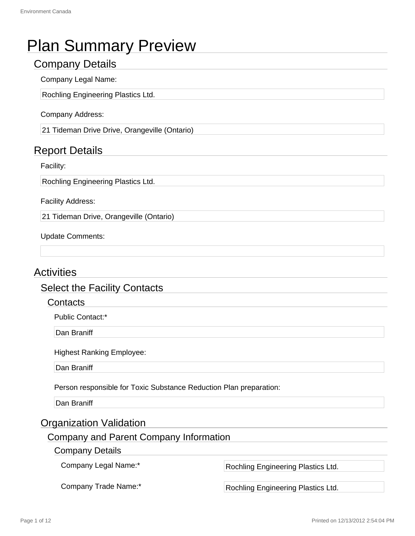# Plan Summary Preview

# Company Details

# Company Legal Name:

Rochling Engineering Plastics Ltd.

### Company Address:

21 Tideman Drive Drive, Orangeville (Ontario)

# Report Details

### Facility:

Rochling Engineering Plastics Ltd.

Facility Address:

21 Tideman Drive, Orangeville (Ontario)

### Update Comments:

# **Activities**

# Select the Facility Contacts

### **Contacts**

Public Contact:\*

Dan Braniff

Highest Ranking Employee:

Dan Braniff

Person responsible for Toxic Substance Reduction Plan preparation:

Dan Braniff

# Organization Validation

# Company and Parent Company Information

### Company Details

Company Legal Name:\* Rochling Engineering Plastics Ltd.

Company Trade Name:\* Rochling Engineering Plastics Ltd.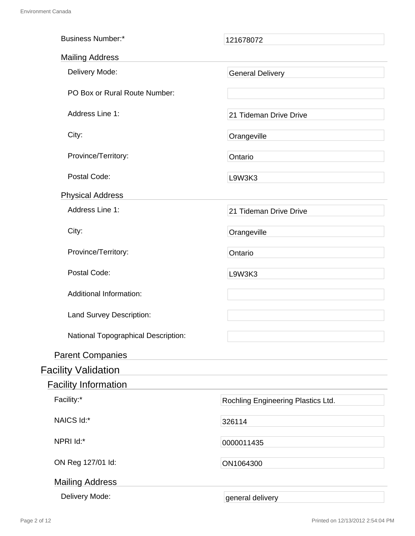| <b>Business Number:*</b>            | 121678072                          |
|-------------------------------------|------------------------------------|
| <b>Mailing Address</b>              |                                    |
| Delivery Mode:                      | <b>General Delivery</b>            |
| PO Box or Rural Route Number:       |                                    |
| Address Line 1:                     | 21 Tideman Drive Drive             |
| City:                               | Orangeville                        |
| Province/Territory:                 | Ontario                            |
| Postal Code:                        | L9W3K3                             |
| <b>Physical Address</b>             |                                    |
| Address Line 1:                     | 21 Tideman Drive Drive             |
| City:                               | Orangeville                        |
| Province/Territory:                 | Ontario                            |
| Postal Code:                        | L9W3K3                             |
| <b>Additional Information:</b>      |                                    |
| Land Survey Description:            |                                    |
| National Topographical Description: |                                    |
| <b>Parent Companies</b>             |                                    |
| <b>Facility Validation</b>          |                                    |
| <b>Facility Information</b>         |                                    |
| Facility:*                          | Rochling Engineering Plastics Ltd. |
| NAICS Id:*                          | 326114                             |
| NPRI Id:*                           | 0000011435                         |
| ON Reg 127/01 ld:                   | ON1064300                          |
| <b>Mailing Address</b>              |                                    |
| Delivery Mode:                      | general delivery                   |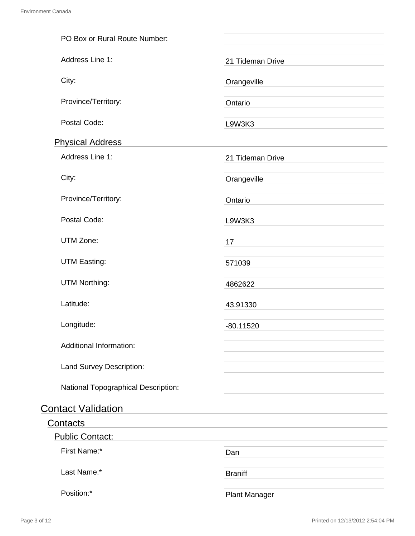| PO Box or Rural Route Number:       |                      |
|-------------------------------------|----------------------|
| Address Line 1:                     | 21 Tideman Drive     |
| City:                               | Orangeville          |
| Province/Territory:                 | Ontario              |
| Postal Code:                        | L9W3K3               |
| <b>Physical Address</b>             |                      |
| Address Line 1:                     | 21 Tideman Drive     |
| City:                               | Orangeville          |
| Province/Territory:                 | Ontario              |
| Postal Code:                        | L9W3K3               |
| UTM Zone:                           | 17                   |
| <b>UTM Easting:</b>                 | 571039               |
| <b>UTM Northing:</b>                | 4862622              |
| Latitude:                           | 43.91330             |
| Longitude:                          | $-80.11520$          |
| <b>Additional Information:</b>      |                      |
| Land Survey Description:            |                      |
| National Topographical Description: |                      |
| <b>Contact Validation</b>           |                      |
| Contacts                            |                      |
| <b>Public Contact:</b>              |                      |
| First Name:*                        | Dan                  |
| Last Name:*                         | <b>Braniff</b>       |
| Position:*                          | <b>Plant Manager</b> |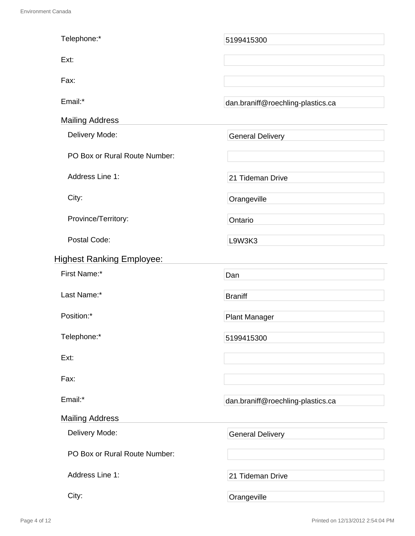| Telephone:*                      | 5199415300                        |
|----------------------------------|-----------------------------------|
| Ext:                             |                                   |
| Fax:                             |                                   |
| Email:*                          | dan.braniff@roechling-plastics.ca |
| <b>Mailing Address</b>           |                                   |
| Delivery Mode:                   | <b>General Delivery</b>           |
| PO Box or Rural Route Number:    |                                   |
| Address Line 1:                  | 21 Tideman Drive                  |
| City:                            | Orangeville                       |
| Province/Territory:              | Ontario                           |
| Postal Code:                     | L9W3K3                            |
| <b>Highest Ranking Employee:</b> |                                   |
| First Name:*                     | Dan                               |
| Last Name:*                      | <b>Braniff</b>                    |
| Position:*                       | <b>Plant Manager</b>              |
| Telephone:*                      | 5199415300                        |
| Ext:                             |                                   |
| Fax:                             |                                   |
| Email:*                          | dan.braniff@roechling-plastics.ca |
| <b>Mailing Address</b>           |                                   |
| Delivery Mode:                   | <b>General Delivery</b>           |
| PO Box or Rural Route Number:    |                                   |
| Address Line 1:                  | 21 Tideman Drive                  |
| City:                            | Orangeville                       |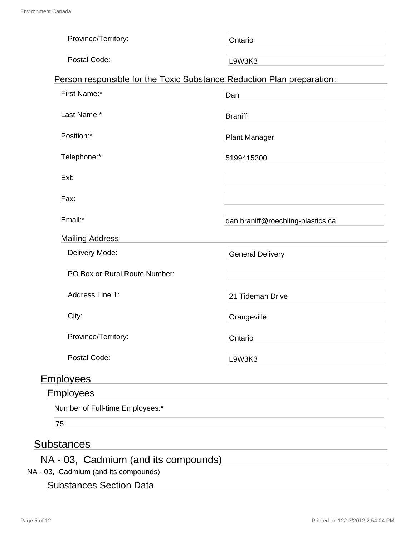| Province/Territory:                                                    | Ontario                           |
|------------------------------------------------------------------------|-----------------------------------|
| Postal Code:                                                           | L9W3K3                            |
| Person responsible for the Toxic Substance Reduction Plan preparation: |                                   |
| First Name:*                                                           | Dan                               |
| Last Name:*                                                            | <b>Braniff</b>                    |
| Position:*                                                             | <b>Plant Manager</b>              |
| Telephone:*                                                            | 5199415300                        |
| Ext:                                                                   |                                   |
| Fax:                                                                   |                                   |
| Email:*                                                                | dan.braniff@roechling-plastics.ca |
| <b>Mailing Address</b>                                                 |                                   |
| Delivery Mode:                                                         | <b>General Delivery</b>           |
| PO Box or Rural Route Number:                                          |                                   |
| Address Line 1:                                                        | 21 Tideman Drive                  |
| City:                                                                  | Orangeville                       |
| Province/Territory:                                                    | Ontario                           |
| Postal Code:                                                           | L9W3K3                            |
| <b>Employees</b>                                                       |                                   |
| Employees                                                              |                                   |
|                                                                        |                                   |

Number of Full-time Employees:\*

75

# **Substances**

# NA - 03, Cadmium (and its compounds)

NA - 03, Cadmium (and its compounds)

# Substances Section Data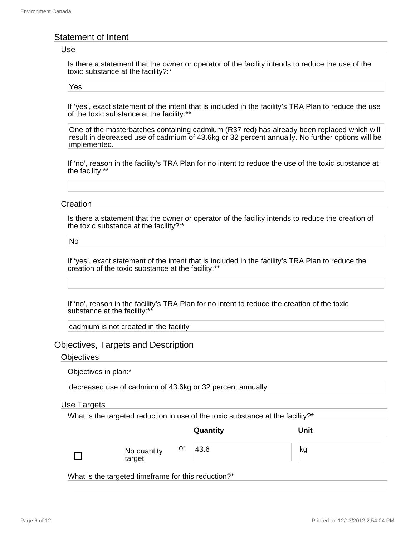### Statement of Intent

#### Use

Is there a statement that the owner or operator of the facility intends to reduce the use of the toxic substance at the facility?:\*

Yes

If 'yes', exact statement of the intent that is included in the facility's TRA Plan to reduce the use of the toxic substance at the facility:\*\*

One of the masterbatches containing cadmium (R37 red) has already been replaced which will result in decreased use of cadmium of 43.6kg or 32 percent annually. No further options will be implemented.

If 'no', reason in the facility's TRA Plan for no intent to reduce the use of the toxic substance at the facility:\*\*

#### **Creation**

Is there a statement that the owner or operator of the facility intends to reduce the creation of the toxic substance at the facility?:\*

No

If 'yes', exact statement of the intent that is included in the facility's TRA Plan to reduce the creation of the toxic substance at the facility:\*\*

If 'no', reason in the facility's TRA Plan for no intent to reduce the creation of the toxic substance at the facility:\*\*

cadmium is not created in the facility

### Objectives, Targets and Description

#### **Objectives**

Objectives in plan:\*

decreased use of cadmium of 43.6kg or 32 percent annually

#### Use Targets

What is the targeted reduction in use of the toxic substance at the facility?\*

|                             | Quantity | Unit |
|-----------------------------|----------|------|
| or<br>No quantity<br>target | 43.6     | kg   |

What is the targeted timeframe for this reduction?\*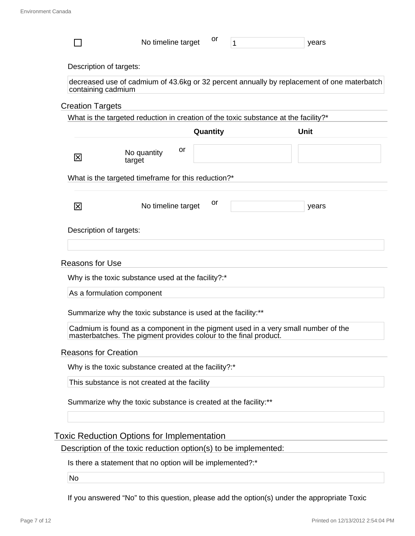|                             |                                                                                                                                                       |    |          |  | years       |  |
|-----------------------------|-------------------------------------------------------------------------------------------------------------------------------------------------------|----|----------|--|-------------|--|
| Description of targets:     |                                                                                                                                                       |    |          |  |             |  |
| containing cadmium          | decreased use of cadmium of 43.6kg or 32 percent annually by replacement of one materbatch                                                            |    |          |  |             |  |
| <b>Creation Targets</b>     |                                                                                                                                                       |    |          |  |             |  |
|                             | What is the targeted reduction in creation of the toxic substance at the facility?*                                                                   |    |          |  |             |  |
|                             |                                                                                                                                                       |    | Quantity |  | <b>Unit</b> |  |
| 区                           | No quantity<br>target                                                                                                                                 | or |          |  |             |  |
|                             | What is the targeted timeframe for this reduction?*                                                                                                   |    |          |  |             |  |
| 図                           | No timeline target                                                                                                                                    |    | or       |  | years       |  |
| Description of targets:     |                                                                                                                                                       |    |          |  |             |  |
|                             |                                                                                                                                                       |    |          |  |             |  |
|                             |                                                                                                                                                       |    |          |  |             |  |
|                             |                                                                                                                                                       |    |          |  |             |  |
| <b>Reasons for Use</b>      |                                                                                                                                                       |    |          |  |             |  |
|                             | Why is the toxic substance used at the facility?:*                                                                                                    |    |          |  |             |  |
|                             | As a formulation component                                                                                                                            |    |          |  |             |  |
|                             |                                                                                                                                                       |    |          |  |             |  |
|                             | Summarize why the toxic substance is used at the facility:**                                                                                          |    |          |  |             |  |
|                             | Cadmium is found as a component in the pigment used in a very small number of the<br>masterbatches. The pigment provides colour to the final product. |    |          |  |             |  |
|                             |                                                                                                                                                       |    |          |  |             |  |
| <b>Reasons for Creation</b> |                                                                                                                                                       |    |          |  |             |  |
|                             | Why is the toxic substance created at the facility?:*                                                                                                 |    |          |  |             |  |
|                             | This substance is not created at the facility                                                                                                         |    |          |  |             |  |
|                             | Summarize why the toxic substance is created at the facility:**                                                                                       |    |          |  |             |  |
|                             |                                                                                                                                                       |    |          |  |             |  |
|                             |                                                                                                                                                       |    |          |  |             |  |
|                             | <b>Toxic Reduction Options for Implementation</b><br>Description of the toxic reduction option(s) to be implemented:                                  |    |          |  |             |  |
|                             | Is there a statement that no option will be implemented?:*                                                                                            |    |          |  |             |  |

If you answered "No" to this question, please add the option(s) under the appropriate Toxic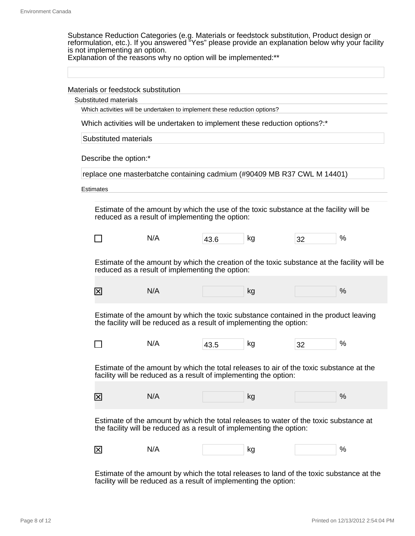Substance Reduction Categories (e.g. Materials or feedstock substitution, Product design or reformulation, etc.). If you answered "Yes" please provide an explanation below why your facility is not implementing an option.

Explanation of the reasons why no option will be implemented:\*\*

Materials or feedstock substitution

Substituted materials

Which activities will be undertaken to implement these reduction options?

Which activities will be undertaken to implement these reduction options?:\*

Substituted materials

Describe the option:\*

replace one masterbatche containing cadmium (#90409 MB R37 CWL M 14401)

Estimates

Estimate of the amount by which the use of the toxic substance at the facility will be reduced as a result of implementing the option:

Estimate of the amount by which the creation of the toxic substance at the facility will be reduced as a result of implementing the option:

| _<br>. . |  |
|----------|--|
|----------|--|

Estimate of the amount by which the toxic substance contained in the product leaving the facility will be reduced as a result of implementing the option:

| -- | N/A | 43.5 | kg | າາ<br>ےت | $\%$ |
|----|-----|------|----|----------|------|
|----|-----|------|----|----------|------|

Estimate of the amount by which the total releases to air of the toxic substance at the facility will be reduced as a result of implementing the option:

| _<br>l><br>_ |  |  |  |
|--------------|--|--|--|
|--------------|--|--|--|

Estimate of the amount by which the total releases to water of the toxic substance at the facility will be reduced as a result of implementing the option:

| $\overline{\phantom{a}}$<br>区 | N/A<br>r | $\overline{\phantom{a}}$<br>- 114 |  |
|-------------------------------|----------|-----------------------------------|--|
|-------------------------------|----------|-----------------------------------|--|

Estimate of the amount by which the total releases to land of the toxic substance at the facility will be reduced as a result of implementing the option: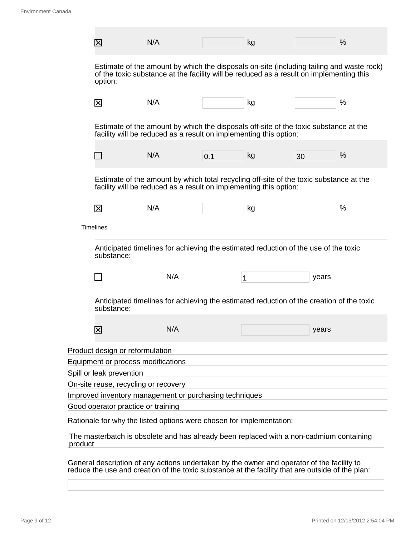|         | ⊠                                    | N/A                                                                                                                                                                                 |     | kg |       | % |
|---------|--------------------------------------|-------------------------------------------------------------------------------------------------------------------------------------------------------------------------------------|-----|----|-------|---|
|         | option:                              | Estimate of the amount by which the disposals on-site (including tailing and waste rock)<br>of the toxic substance at the facility will be reduced as a result on implementing this |     |    |       |   |
|         | 冈                                    | N/A                                                                                                                                                                                 |     | kg |       | % |
|         |                                      | Estimate of the amount by which the disposals off-site of the toxic substance at the<br>facility will be reduced as a result on implementing this option:                           |     |    |       |   |
|         |                                      | N/A                                                                                                                                                                                 | 0.1 | kg | 30    | % |
|         |                                      | Estimate of the amount by which total recycling off-site of the toxic substance at the<br>facility will be reduced as a result on implementing this option:                         |     |    |       |   |
|         | 冈                                    | N/A                                                                                                                                                                                 |     | kg |       | % |
|         | <b>Timelines</b>                     |                                                                                                                                                                                     |     |    |       |   |
|         | substance:                           | Anticipated timelines for achieving the estimated reduction of the use of the toxic                                                                                                 |     |    |       |   |
|         |                                      | N/A                                                                                                                                                                                 |     | 1  | years |   |
|         | substance:                           | Anticipated timelines for achieving the estimated reduction of the creation of the toxic                                                                                            |     |    |       |   |
|         | $\overline{\mathsf{x}}$              | N/A                                                                                                                                                                                 |     |    | years |   |
|         | Product design or reformulation      |                                                                                                                                                                                     |     |    |       |   |
|         | Equipment or process modifications   |                                                                                                                                                                                     |     |    |       |   |
|         | Spill or leak prevention             |                                                                                                                                                                                     |     |    |       |   |
|         | On-site reuse, recycling or recovery |                                                                                                                                                                                     |     |    |       |   |
|         |                                      | Improved inventory management or purchasing techniques                                                                                                                              |     |    |       |   |
|         | Good operator practice or training   |                                                                                                                                                                                     |     |    |       |   |
|         |                                      | Rationale for why the listed options were chosen for implementation:                                                                                                                |     |    |       |   |
| product |                                      | The masterbatch is obsolete and has already been replaced with a non-cadmium containing                                                                                             |     |    |       |   |
|         |                                      | General description of any actions undertaken by the owner and operator of the facility to                                                                                          |     |    |       |   |

reduce the use and creation of the toxic substance at the facility that are outside of the plan: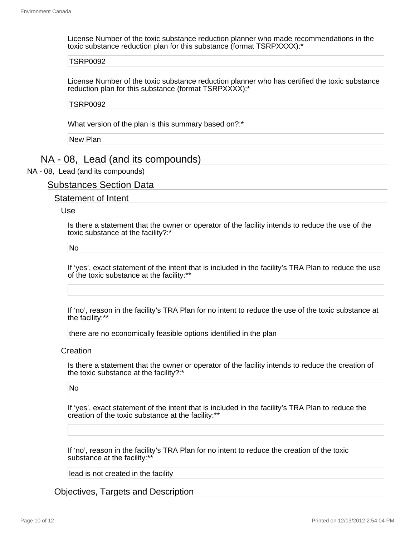License Number of the toxic substance reduction planner who made recommendations in the toxic substance reduction plan for this substance (format TSRPXXXX):\*

#### TSRP0092

License Number of the toxic substance reduction planner who has certified the toxic substance reduction plan for this substance (format TSRPXXXX):\*

TSRP0092

What version of the plan is this summary based on?:\*

New Plan

# NA - 08, Lead (and its compounds)

#### NA - 08, Lead (and its compounds)

### Substances Section Data

### Statement of Intent

#### Use

Is there a statement that the owner or operator of the facility intends to reduce the use of the toxic substance at the facility?:\*

#### No

If 'yes', exact statement of the intent that is included in the facility's TRA Plan to reduce the use of the toxic substance at the facility:\*\*

If 'no', reason in the facility's TRA Plan for no intent to reduce the use of the toxic substance at the facility:\*\*

there are no economically feasible options identified in the plan

#### **Creation**

Is there a statement that the owner or operator of the facility intends to reduce the creation of the toxic substance at the facility?:\*

#### No

If 'yes', exact statement of the intent that is included in the facility's TRA Plan to reduce the creation of the toxic substance at the facility:\*\*

If 'no', reason in the facility's TRA Plan for no intent to reduce the creation of the toxic substance at the facility:\*\*

lead is not created in the facility

Objectives, Targets and Description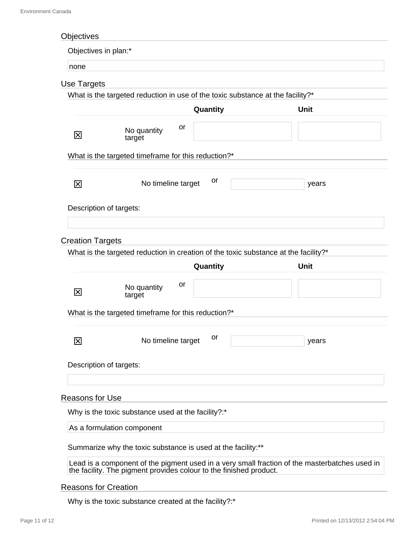| Objectives                  |                                                                                                                                                                     |             |
|-----------------------------|---------------------------------------------------------------------------------------------------------------------------------------------------------------------|-------------|
| Objectives in plan:*        |                                                                                                                                                                     |             |
| none                        |                                                                                                                                                                     |             |
| Use Targets                 |                                                                                                                                                                     |             |
|                             | What is the targeted reduction in use of the toxic substance at the facility?*                                                                                      |             |
|                             | Quantity                                                                                                                                                            | <b>Unit</b> |
| 区                           | or<br>No quantity<br>target                                                                                                                                         |             |
|                             | What is the targeted timeframe for this reduction?*                                                                                                                 |             |
| 冈                           | or<br>No timeline target                                                                                                                                            | years       |
|                             | Description of targets:                                                                                                                                             |             |
| <b>Creation Targets</b>     |                                                                                                                                                                     |             |
|                             | What is the targeted reduction in creation of the toxic substance at the facility?*                                                                                 |             |
|                             | Quantity                                                                                                                                                            | <b>Unit</b> |
| 区                           | or<br>No quantity<br>target                                                                                                                                         |             |
|                             | What is the targeted timeframe for this reduction?*                                                                                                                 |             |
| $\overline{\mathsf{x}}$     | or<br>No timeline target                                                                                                                                            | years       |
|                             | Description of targets:                                                                                                                                             |             |
| <b>Reasons for Use</b>      |                                                                                                                                                                     |             |
|                             | Why is the toxic substance used at the facility?:*                                                                                                                  |             |
|                             | As a formulation component                                                                                                                                          |             |
|                             | Summarize why the toxic substance is used at the facility:**                                                                                                        |             |
|                             | Lead is a component of the pigment used in a very small fraction of the masterbatches used in<br>the facility. The pigment provides colour to the finished product. |             |
| <b>Reasons for Creation</b> |                                                                                                                                                                     |             |
|                             | Why is the toxic substance created at the facility?:*                                                                                                               |             |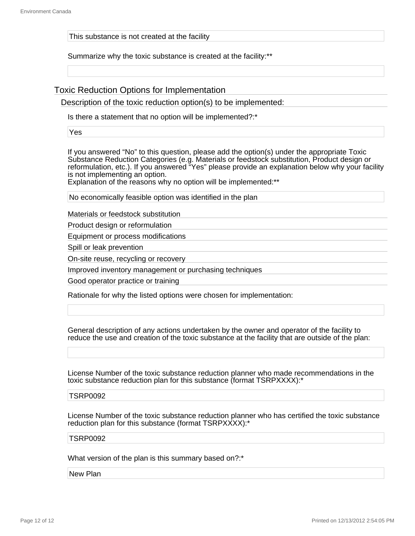This substance is not created at the facility

Summarize why the toxic substance is created at the facility:\*\*

Toxic Reduction Options for Implementation

Description of the toxic reduction option(s) to be implemented:

Is there a statement that no option will be implemented?:\*

Yes

If you answered "No" to this question, please add the option(s) under the appropriate Toxic Substance Reduction Categories (e.g. Materials or feedstock substitution, Product design or reformulation, etc.). If you answered "Yes" please provide an explanation below why your facility is not implementing an option.

Explanation of the reasons why no option will be implemented:\*\*

No economically feasible option was identified in the plan

Materials or feedstock substitution

Product design or reformulation

Equipment or process modifications

Spill or leak prevention

On-site reuse, recycling or recovery

Improved inventory management or purchasing techniques

Good operator practice or training

Rationale for why the listed options were chosen for implementation:

General description of any actions undertaken by the owner and operator of the facility to reduce the use and creation of the toxic substance at the facility that are outside of the plan:

License Number of the toxic substance reduction planner who made recommendations in the toxic substance reduction plan for this substance (format TSRPXXXX):\*

#### TSRP0092

License Number of the toxic substance reduction planner who has certified the toxic substance reduction plan for this substance (format TSRPXXXX):\*

#### TSRP0092

What version of the plan is this summary based on?:\*

New Plan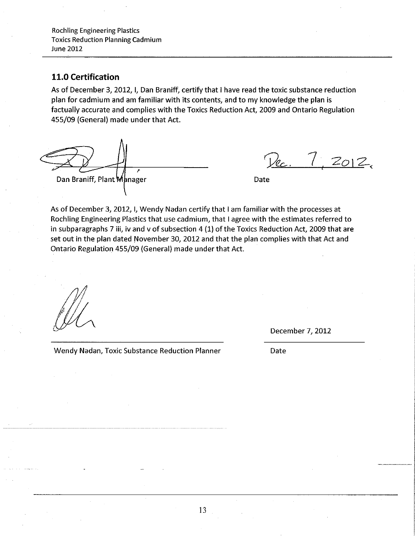# **11.0 Certification**

As of December 3, 2012, I, Dan Braniff, certify that I have read the toxic substance reduction plan for cadmium and am familiar with its contents, and to my knowledge the plan is factually accurate and complies with the Toxics Reduction Act, 2009 and Ontario Regulation 455/09 (General) made under that Act.

*r*  Dan Braniff, Plant Manager and Date Date

Dec. 7, 2012.

As of December 3, 2012, I, Wendy Nadan certify that I am familiar with the processes at Roehling Engineering Plastics that.use cadmium, that I agree with the estimates referred to in subparagraphs 7 iii, iv and *v* of subsection 4 (1) of the Toxics Reduction Act, 2009 that are set out in the plan dated November 30, 2012 and that the plan complies with that Act and Ontario Regulation 455/09 (General) made under that Act.

*/}/*   $\mathcal{M}\wedge$ 

December 7, 2012

Date

Wendy Nadan, Toxic Substance Reduction Planner